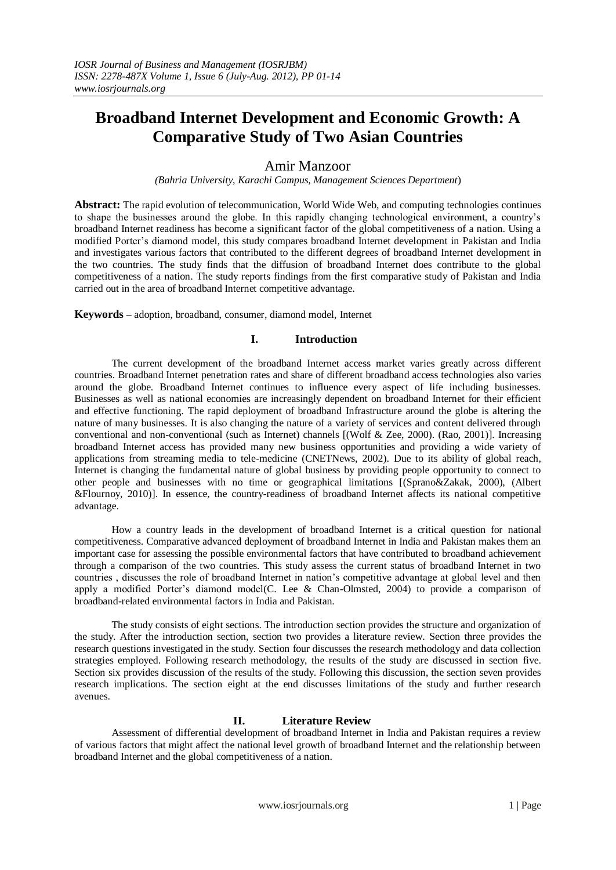# Amir Manzoor

*(Bahria University, Karachi Campus, Management Sciences Department*)

**Abstract:** The rapid evolution of telecommunication, World Wide Web, and computing technologies continues to shape the businesses around the globe. In this rapidly changing technological environment, a country"s broadband Internet readiness has become a significant factor of the global competitiveness of a nation. Using a modified Porter"s diamond model, this study compares broadband Internet development in Pakistan and India and investigates various factors that contributed to the different degrees of broadband Internet development in the two countries. The study finds that the diffusion of broadband Internet does contribute to the global competitiveness of a nation. The study reports findings from the first comparative study of Pakistan and India carried out in the area of broadband Internet competitive advantage.

**Keywords –** adoption, broadband, consumer, diamond model, Internet

# **I. Introduction**

The current development of the broadband Internet access market varies greatly across different countries. Broadband Internet penetration rates and share of different broadband access technologies also varies around the globe. Broadband Internet continues to influence every aspect of life including businesses. Businesses as well as national economies are increasingly dependent on broadband Internet for their efficient and effective functioning. The rapid deployment of broadband Infrastructure around the globe is altering the nature of many businesses. It is also changing the nature of a variety of services and content delivered through conventional and non-conventional (such as Internet) channels [(Wolf & Zee, 2000). (Rao, 2001)]. Increasing broadband Internet access has provided many new business opportunities and providing a wide variety of applications from streaming media to tele-medicine (CNETNews, 2002). Due to its ability of global reach, Internet is changing the fundamental nature of global business by providing people opportunity to connect to other people and businesses with no time or geographical limitations [(Sprano&Zakak, 2000), (Albert &Flournoy, 2010)]. In essence, the country-readiness of broadband Internet affects its national competitive advantage.

How a country leads in the development of broadband Internet is a critical question for national competitiveness. Comparative advanced deployment of broadband Internet in India and Pakistan makes them an important case for assessing the possible environmental factors that have contributed to broadband achievement through a comparison of the two countries. This study assess the current status of broadband Internet in two countries , discusses the role of broadband Internet in nation"s competitive advantage at global level and then apply a modified Porter's diamond model(C. Lee & Chan-Olmsted, 2004) to provide a comparison of broadband-related environmental factors in India and Pakistan.

The study consists of eight sections. The introduction section provides the structure and organization of the study. After the introduction section, section two provides a literature review. Section three provides the research questions investigated in the study. Section four discusses the research methodology and data collection strategies employed. Following research methodology, the results of the study are discussed in section five. Section six provides discussion of the results of the study. Following this discussion, the section seven provides research implications. The section eight at the end discusses limitations of the study and further research avenues.

# **II. Literature Review**

Assessment of differential development of broadband Internet in India and Pakistan requires a review of various factors that might affect the national level growth of broadband Internet and the relationship between broadband Internet and the global competitiveness of a nation.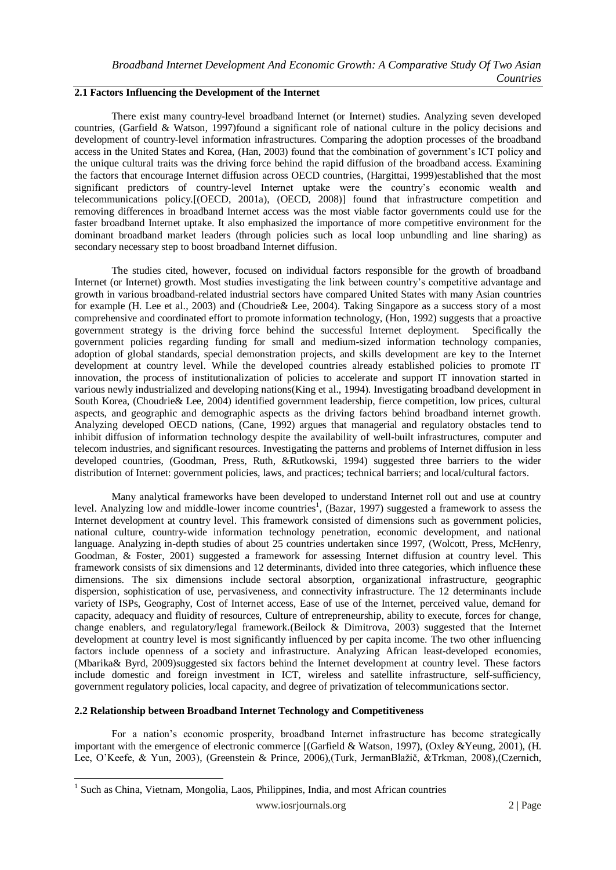# **2.1 Factors Influencing the Development of the Internet**

There exist many country-level broadband Internet (or Internet) studies. Analyzing seven developed countries, (Garfield & Watson, 1997)found a significant role of national culture in the policy decisions and development of country-level information infrastructures. Comparing the adoption processes of the broadband access in the United States and Korea, (Han, 2003) found that the combination of government"s ICT policy and the unique cultural traits was the driving force behind the rapid diffusion of the broadband access. Examining the factors that encourage Internet diffusion across OECD countries, (Hargittai, 1999)established that the most significant predictors of country-level Internet uptake were the country's economic wealth and telecommunications policy.[(OECD, 2001a), (OECD, 2008)] found that infrastructure competition and removing differences in broadband Internet access was the most viable factor governments could use for the faster broadband Internet uptake. It also emphasized the importance of more competitive environment for the dominant broadband market leaders (through policies such as local loop unbundling and line sharing) as secondary necessary step to boost broadband Internet diffusion.

The studies cited, however, focused on individual factors responsible for the growth of broadband Internet (or Internet) growth. Most studies investigating the link between country"s competitive advantage and growth in various broadband-related industrial sectors have compared United States with many Asian countries for example (H. Lee et al., 2003) and (Choudrie& Lee, 2004). Taking Singapore as a success story of a most comprehensive and coordinated effort to promote information technology, (Hon, 1992) suggests that a proactive government strategy is the driving force behind the successful Internet deployment. Specifically the government policies regarding funding for small and medium-sized information technology companies, adoption of global standards, special demonstration projects, and skills development are key to the Internet development at country level. While the developed countries already established policies to promote IT innovation, the process of institutionalization of policies to accelerate and support IT innovation started in various newly industrialized and developing nations(King et al., 1994). Investigating broadband development in South Korea, (Choudrie& Lee, 2004) identified government leadership, fierce competition, low prices, cultural aspects, and geographic and demographic aspects as the driving factors behind broadband internet growth. Analyzing developed OECD nations, (Cane, 1992) argues that managerial and regulatory obstacles tend to inhibit diffusion of information technology despite the availability of well-built infrastructures, computer and telecom industries, and significant resources. Investigating the patterns and problems of Internet diffusion in less developed countries, (Goodman, Press, Ruth, &Rutkowski, 1994) suggested three barriers to the wider distribution of Internet: government policies, laws, and practices; technical barriers; and local/cultural factors.

Many analytical frameworks have been developed to understand Internet roll out and use at country level. Analyzing low and middle-lower income countries<sup>1</sup>, (Bazar, 1997) suggested a framework to assess the Internet development at country level. This framework consisted of dimensions such as government policies, national culture, country-wide information technology penetration, economic development, and national language. Analyzing in-depth studies of about 25 countries undertaken since 1997, (Wolcott, Press, McHenry, Goodman, & Foster, 2001) suggested a framework for assessing Internet diffusion at country level. This framework consists of six dimensions and 12 determinants, divided into three categories, which influence these dimensions. The six dimensions include sectoral absorption, organizational infrastructure, geographic dispersion, sophistication of use, pervasiveness, and connectivity infrastructure. The 12 determinants include variety of ISPs, Geography, Cost of Internet access, Ease of use of the Internet, perceived value, demand for capacity, adequacy and fluidity of resources, Culture of entrepreneurship, ability to execute, forces for change, change enablers, and regulatory/legal framework.(Beilock & Dimitrova, 2003) suggested that the Internet development at country level is most significantly influenced by per capita income. The two other influencing factors include openness of a society and infrastructure. Analyzing African least-developed economies, (Mbarika& Byrd, 2009)suggested six factors behind the Internet development at country level. These factors include domestic and foreign investment in ICT, wireless and satellite infrastructure, self-sufficiency, government regulatory policies, local capacity, and degree of privatization of telecommunications sector.

# **2.2 Relationship between Broadband Internet Technology and Competitiveness**

-

For a nation"s economic prosperity, broadband Internet infrastructure has become strategically important with the emergence of electronic commerce [(Garfield & Watson, 1997), (Oxley &Yeung, 2001), (H. Lee, O"Keefe, & Yun, 2003), (Greenstein & Prince, 2006),(Turk, JermanBlažič, &Trkman, 2008),(Czernich,

<sup>&</sup>lt;sup>1</sup> Such as China, Vietnam, Mongolia, Laos, Philippines, India, and most African countries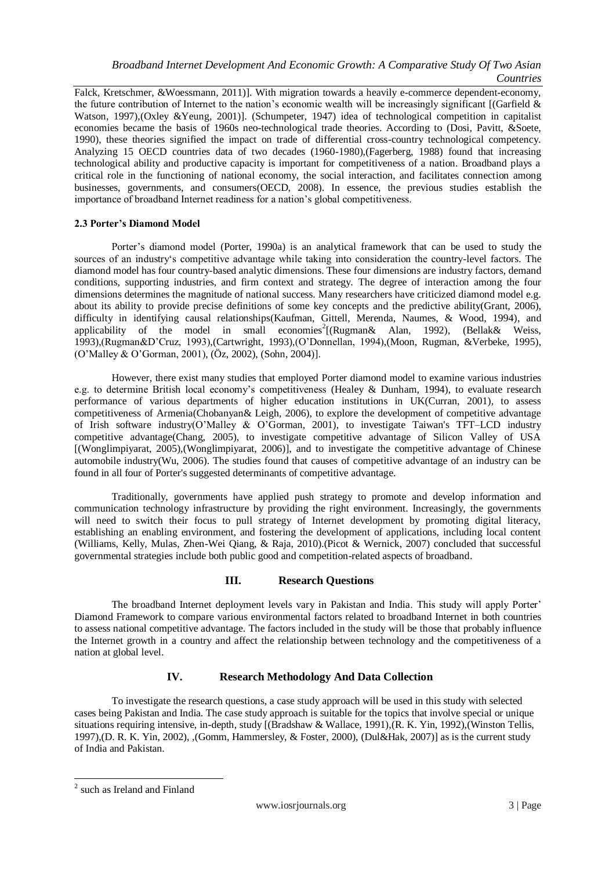Falck, Kretschmer, &Woessmann, 2011)]. With migration towards a heavily e-commerce dependent-economy, the future contribution of Internet to the nation's economic wealth will be increasingly significant [(Garfield  $\&$ Watson, 1997),(Oxley &Yeung, 2001)]. (Schumpeter, 1947) idea of technological competition in capitalist economies became the basis of 1960s neo-technological trade theories. According to (Dosi, Pavitt, &Soete, 1990), these theories signified the impact on trade of differential cross-country technological competency. Analyzing 15 OECD countries data of two decades (1960-1980),(Fagerberg, 1988) found that increasing technological ability and productive capacity is important for competitiveness of a nation. Broadband plays a critical role in the functioning of national economy, the social interaction, and facilitates connection among businesses, governments, and consumers(OECD, 2008). In essence, the previous studies establish the importance of broadband Internet readiness for a nation"s global competitiveness.

# **2.3 Porter's Diamond Model**

Porter's diamond model (Porter, 1990a) is an analytical framework that can be used to study the sources of an industry"s competitive advantage while taking into consideration the country-level factors. The diamond model has four country-based analytic dimensions. These four dimensions are industry factors, demand conditions, supporting industries, and firm context and strategy. The degree of interaction among the four dimensions determines the magnitude of national success. Many researchers have criticized diamond model e.g. about its ability to provide precise definitions of some key concepts and the predictive ability(Grant, 2006), difficulty in identifying causal relationships(Kaufman, Gittell, Merenda, Naumes, & Wood, 1994), and applicability of the model in small economies<sup>2</sup>[(Rugman& Alan, 1992), (Bellak& Weiss, 1993),(Rugman&D"Cruz, 1993),(Cartwright, 1993),(O"Donnellan, 1994),(Moon, Rugman, &Verbeke, 1995), (O"Malley & O"Gorman, 2001), (Öz, 2002), (Sohn, 2004)].

However, there exist many studies that employed Porter diamond model to examine various industries e.g. to determine British local economy's competitiveness (Healey & Dunham, 1994), to evaluate research performance of various departments of higher education institutions in UK(Curran, 2001), to assess competitiveness of Armenia(Chobanyan& Leigh, 2006), to explore the development of competitive advantage of Irish software industry(O"Malley & O"Gorman, 2001), to investigate Taiwan's TFT–LCD industry competitive advantage(Chang, 2005), to investigate competitive advantage of Silicon Valley of USA [(Wonglimpiyarat, 2005),(Wonglimpiyarat, 2006)], and to investigate the competitive advantage of Chinese automobile industry(Wu, 2006). The studies found that causes of competitive advantage of an industry can be found in all four of Porter's suggested determinants of competitive advantage.

Traditionally, governments have applied push strategy to promote and develop information and communication technology infrastructure by providing the right environment. Increasingly, the governments will need to switch their focus to pull strategy of Internet development by promoting digital literacy, establishing an enabling environment, and fostering the development of applications, including local content (Williams, Kelly, Mulas, Zhen-Wei Qiang, & Raja, 2010).(Picot & Wernick, 2007) concluded that successful governmental strategies include both public good and competition-related aspects of broadband.

# **III. Research Questions**

The broadband Internet deployment levels vary in Pakistan and India. This study will apply Porter" Diamond Framework to compare various environmental factors related to broadband Internet in both countries to assess national competitive advantage. The factors included in the study will be those that probably influence the Internet growth in a country and affect the relationship between technology and the competitiveness of a nation at global level.

# **IV. Research Methodology And Data Collection**

To investigate the research questions, a case study approach will be used in this study with selected cases being Pakistan and India. The case study approach is suitable for the topics that involve special or unique situations requiring intensive, in-depth, study [(Bradshaw & Wallace, 1991),(R. K. Yin, 1992),(Winston Tellis, 1997),(D. R. K. Yin, 2002), ,(Gomm, Hammersley, & Foster, 2000), (Dul&Hak, 2007)] as is the current study of India and Pakistan.

-

<sup>2</sup> such as Ireland and Finland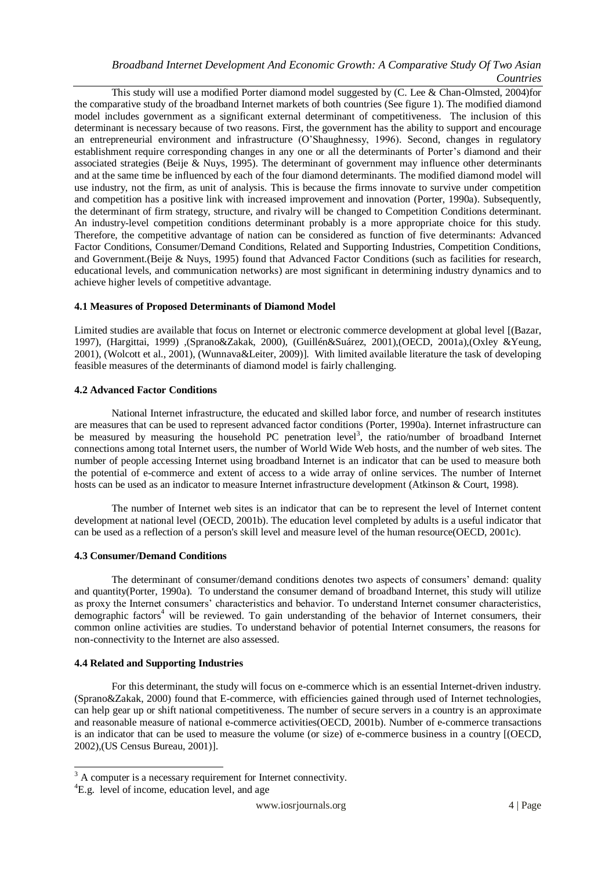This study will use a modified Porter diamond model suggested by (C. Lee & Chan-Olmsted, 2004)for the comparative study of the broadband Internet markets of both countries (See figure 1). The modified diamond model includes government as a significant external determinant of competitiveness. The inclusion of this determinant is necessary because of two reasons. First, the government has the ability to support and encourage an entrepreneurial environment and infrastructure (O"Shaughnessy, 1996). Second, changes in regulatory establishment require corresponding changes in any one or all the determinants of Porter"s diamond and their associated strategies (Beije & Nuys, 1995). The determinant of government may influence other determinants and at the same time be influenced by each of the four diamond determinants. The modified diamond model will use industry, not the firm, as unit of analysis. This is because the firms innovate to survive under competition and competition has a positive link with increased improvement and innovation (Porter, 1990a). Subsequently, the determinant of firm strategy, structure, and rivalry will be changed to Competition Conditions determinant. An industry-level competition conditions determinant probably is a more appropriate choice for this study. Therefore, the competitive advantage of nation can be considered as function of five determinants: Advanced Factor Conditions, Consumer/Demand Conditions, Related and Supporting Industries, Competition Conditions, and Government.(Beije & Nuys, 1995) found that Advanced Factor Conditions (such as facilities for research, educational levels, and communication networks) are most significant in determining industry dynamics and to achieve higher levels of competitive advantage.

# **4.1 Measures of Proposed Determinants of Diamond Model**

Limited studies are available that focus on Internet or electronic commerce development at global level [(Bazar, 1997), (Hargittai, 1999) ,(Sprano&Zakak, 2000), (Guillén&Suárez, 2001),(OECD, 2001a),(Oxley &Yeung, 2001), (Wolcott et al., 2001), (Wunnava&Leiter, 2009)]. With limited available literature the task of developing feasible measures of the determinants of diamond model is fairly challenging.

# **4.2 Advanced Factor Conditions**

National Internet infrastructure, the educated and skilled labor force, and number of research institutes are measures that can be used to represent advanced factor conditions (Porter, 1990a). Internet infrastructure can be measured by measuring the household PC penetration level<sup>3</sup>, the ratio/number of broadband Internet connections among total Internet users, the number of World Wide Web hosts, and the number of web sites. The number of people accessing Internet using broadband Internet is an indicator that can be used to measure both the potential of e-commerce and extent of access to a wide array of online services. The number of Internet hosts can be used as an indicator to measure Internet infrastructure development (Atkinson & Court, 1998).

The number of Internet web sites is an indicator that can be to represent the level of Internet content development at national level (OECD, 2001b). The education level completed by adults is a useful indicator that can be used as a reflection of a person's skill level and measure level of the human resource(OECD, 2001c).

# **4.3 Consumer/Demand Conditions**

The determinant of consumer/demand conditions denotes two aspects of consumers' demand: quality and quantity(Porter, 1990a). To understand the consumer demand of broadband Internet, this study will utilize as proxy the Internet consumers" characteristics and behavior. To understand Internet consumer characteristics, demographic factors<sup>4</sup> will be reviewed. To gain understanding of the behavior of Internet consumers, their common online activities are studies. To understand behavior of potential Internet consumers, the reasons for non-connectivity to the Internet are also assessed.

# **4.4 Related and Supporting Industries**

For this determinant, the study will focus on e-commerce which is an essential Internet-driven industry. (Sprano&Zakak, 2000) found that E-commerce, with efficiencies gained through used of Internet technologies, can help gear up or shift national competitiveness. The number of secure servers in a country is an approximate and reasonable measure of national e-commerce activities(OECD, 2001b). Number of e-commerce transactions is an indicator that can be used to measure the volume (or size) of e-commerce business in a country [(OECD, 2002),(US Census Bureau, 2001)].

-

 $3$  A computer is a necessary requirement for Internet connectivity.

<sup>&</sup>lt;sup>4</sup>E.g. level of income, education level, and age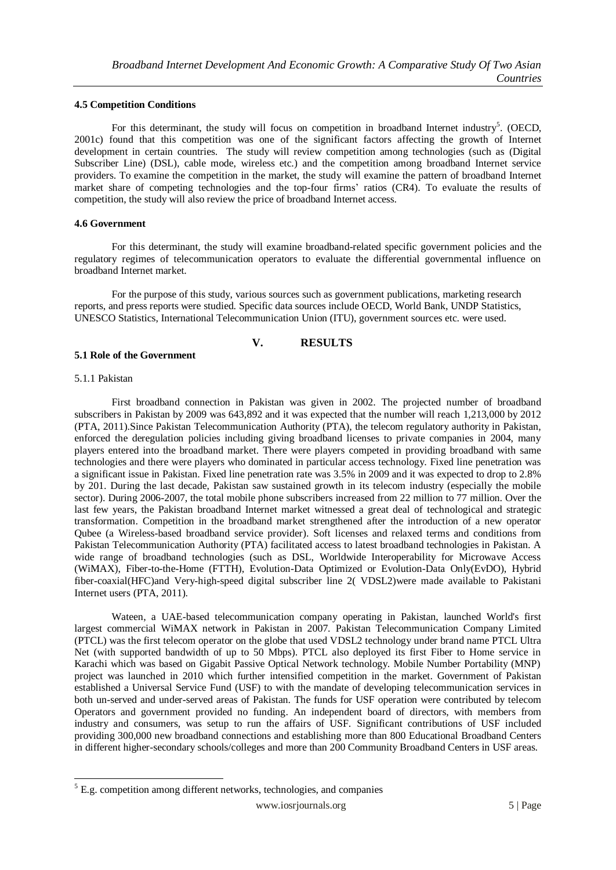#### **4.5 Competition Conditions**

For this determinant, the study will focus on competition in broadband Internet industry<sup>5</sup>. (OECD, 2001c) found that this competition was one of the significant factors affecting the growth of Internet development in certain countries. The study will review competition among technologies (such as (Digital Subscriber Line) (DSL), cable mode, wireless etc.) and the competition among broadband Internet service providers. To examine the competition in the market, the study will examine the pattern of broadband Internet market share of competing technologies and the top-four firms" ratios (CR4). To evaluate the results of competition, the study will also review the price of broadband Internet access.

#### **4.6 Government**

For this determinant, the study will examine broadband-related specific government policies and the regulatory regimes of telecommunication operators to evaluate the differential governmental influence on broadband Internet market.

For the purpose of this study, various sources such as government publications, marketing research reports, and press reports were studied. Specific data sources include OECD, World Bank, UNDP Statistics, UNESCO Statistics, International Telecommunication Union (ITU), government sources etc. were used.

# **V. RESULTS**

#### **5.1 Role of the Government**

#### 5.1.1 Pakistan

-

First broadband connection in Pakistan was given in 2002. The projected number of broadband subscribers in Pakistan by 2009 was 643,892 and it was expected that the number will reach 1,213,000 by 2012 (PTA, 2011).Since Pakistan Telecommunication Authority (PTA), the telecom regulatory authority in Pakistan, enforced the deregulation policies including giving broadband licenses to private companies in 2004, many players entered into the broadband market. There were players competed in providing broadband with same technologies and there were players who dominated in particular access technology. Fixed line penetration was a significant issue in Pakistan. Fixed line penetration rate was 3.5% in 2009 and it was expected to drop to 2.8% by 201. During the last decade, Pakistan saw sustained growth in its telecom industry (especially the mobile sector). During 2006-2007, the total mobile phone subscribers increased from 22 million to 77 million. Over the last few years, the Pakistan broadband Internet market witnessed a great deal of technological and strategic transformation. Competition in the broadband market strengthened after the introduction of a new operator Qubee (a Wireless-based broadband service provider). Soft licenses and relaxed terms and conditions from Pakistan Telecommunication Authority (PTA) facilitated access to latest broadband technologies in Pakistan. A wide range of broadband technologies (such as DSL, Worldwide Interoperability for Microwave Access (WiMAX), Fiber-to-the-Home (FTTH), Evolution-Data Optimized or Evolution-Data Only(EvDO), Hybrid fiber-coaxial(HFC)and Very-high-speed digital subscriber line 2( VDSL2)were made available to Pakistani Internet users (PTA, 2011).

Wateen, a UAE-based telecommunication company operating in Pakistan, launched World's first largest commercial WiMAX network in Pakistan in 2007. Pakistan Telecommunication Company Limited (PTCL) was the first telecom operator on the globe that used VDSL2 technology under brand name PTCL Ultra Net (with supported bandwidth of up to 50 Mbps). PTCL also deployed its first Fiber to Home service in Karachi which was based on Gigabit Passive Optical Network technology. Mobile Number Portability (MNP) project was launched in 2010 which further intensified competition in the market. Government of Pakistan established a Universal Service Fund (USF) to with the mandate of developing telecommunication services in both un-served and under-served areas of Pakistan. The funds for USF operation were contributed by telecom Operators and government provided no funding. An independent board of directors, with members from industry and consumers, was setup to run the affairs of USF. Significant contributions of USF included providing 300,000 new broadband connections and establishing more than 800 Educational Broadband Centers in different higher-secondary schools/colleges and more than 200 Community Broadband Centers in USF areas.

 $5$  E.g. competition among different networks, technologies, and companies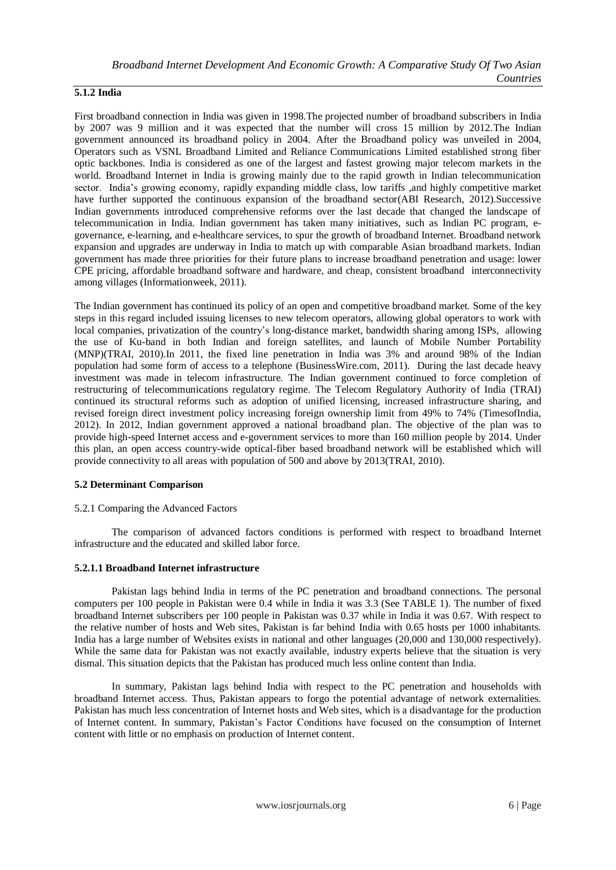# **5.1.2 India**

First broadband connection in India was given in 1998.The projected number of broadband subscribers in India by 2007 was 9 million and it was expected that the number will cross 15 million by 2012.The Indian government announced its broadband policy in 2004. After the Broadband policy was unveiled in 2004, Operators such as VSNL Broadband Limited and Reliance Communications Limited established strong fiber optic backbones. India is considered as one of the largest and fastest growing major telecom markets in the world. Broadband Internet in India is growing mainly due to the rapid growth in Indian telecommunication sector. India"s growing economy, rapidly expanding middle class, low tariffs ,and highly competitive market have further supported the continuous expansion of the broadband sector(ABI Research, 2012).Successive Indian governments introduced comprehensive reforms over the last decade that changed the landscape of telecommunication in India. Indian government has taken many initiatives, such as Indian PC program, egovernance, e-learning, and e-healthcare services, to spur the growth of broadband Internet. Broadband network expansion and upgrades are underway in India to match up with comparable Asian broadband markets. Indian government has made three priorities for their future plans to increase broadband penetration and usage: lower CPE pricing, affordable broadband software and hardware, and cheap, consistent broadband interconnectivity among villages (Informationweek, 2011).

The Indian government has continued its policy of an open and competitive broadband market. Some of the key steps in this regard included issuing licenses to new telecom operators, allowing global operators to work with local companies, privatization of the country"s long-distance market, bandwidth sharing among ISPs, allowing the use of Ku-band in both Indian and foreign satellites, and launch of Mobile Number Portability (MNP)(TRAI, 2010).In 2011, the fixed line penetration in India was 3% and around 98% of the Indian population had some form of access to a telephone (BusinessWire.com, 2011). During the last decade heavy investment was made in telecom infrastructure. The Indian government continued to force completion of restructuring of telecommunications regulatory regime. The Telecom Regulatory Authority of India (TRAI) continued its structural reforms such as adoption of unified licensing, increased infrastructure sharing, and revised foreign direct investment policy increasing foreign ownership limit from 49% to 74% (TimesofIndia, 2012). In 2012, Indian government approved a national broadband plan. The objective of the plan was to provide high-speed Internet access and e-government services to more than 160 million people by 2014. Under this plan, an open access country-wide optical-fiber based broadband network will be established which will provide connectivity to all areas with population of 500 and above by 2013(TRAI, 2010).

# **5.2 Determinant Comparison**

# 5.2.1 Comparing the Advanced Factors

The comparison of advanced factors conditions is performed with respect to broadband Internet infrastructure and the educated and skilled labor force.

# **5.2.1.1 Broadband Internet infrastructure**

Pakistan lags behind India in terms of the PC penetration and broadband connections. The personal computers per 100 people in Pakistan were 0.4 while in India it was 3.3 (See TABLE 1). The number of fixed broadband Internet subscribers per 100 people in Pakistan was 0.37 while in India it was 0.67. With respect to the relative number of hosts and Web sites, Pakistan is far behind India with 0.65 hosts per 1000 inhabitants. India has a large number of Websites exists in national and other languages (20,000 and 130,000 respectively). While the same data for Pakistan was not exactly available, industry experts believe that the situation is very dismal. This situation depicts that the Pakistan has produced much less online content than India.

In summary, Pakistan lags behind India with respect to the PC penetration and households with broadband Internet access. Thus, Pakistan appears to forgo the potential advantage of network externalities. Pakistan has much less concentration of Internet hosts and Web sites, which is a disadvantage for the production of Internet content. In summary, Pakistan"s Factor Conditions have focused on the consumption of Internet content with little or no emphasis on production of Internet content.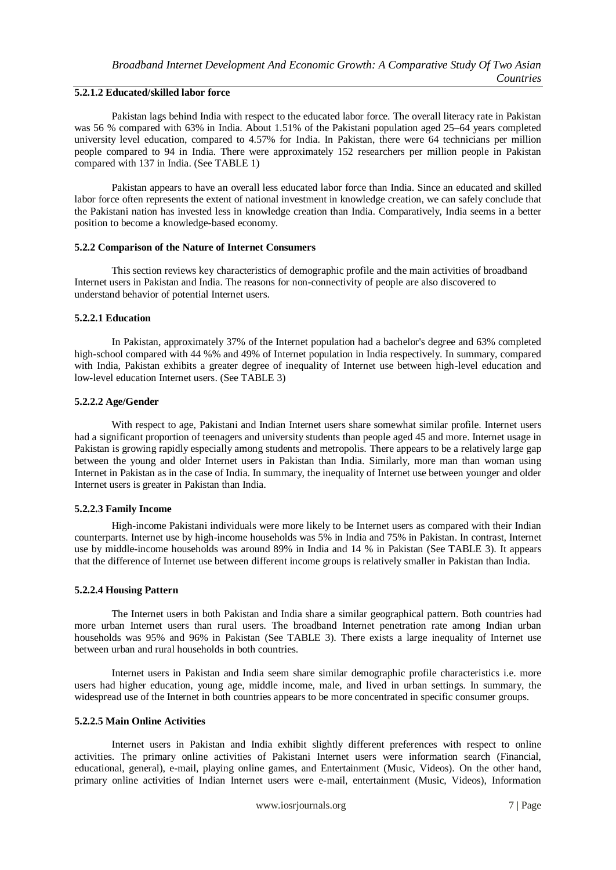# **5.2.1.2 Educated/skilled labor force**

Pakistan lags behind India with respect to the educated labor force. The overall literacy rate in Pakistan was 56 % compared with 63% in India. About 1.51% of the Pakistani population aged 25–64 years completed university level education, compared to 4.57% for India. In Pakistan, there were 64 technicians per million people compared to 94 in India. There were approximately 152 researchers per million people in Pakistan compared with 137 in India. (See TABLE 1)

Pakistan appears to have an overall less educated labor force than India. Since an educated and skilled labor force often represents the extent of national investment in knowledge creation, we can safely conclude that the Pakistani nation has invested less in knowledge creation than India. Comparatively, India seems in a better position to become a knowledge-based economy.

#### **5.2.2 Comparison of the Nature of Internet Consumers**

This section reviews key characteristics of demographic profile and the main activities of broadband Internet users in Pakistan and India. The reasons for non-connectivity of people are also discovered to understand behavior of potential Internet users.

# **5.2.2.1 Education**

In Pakistan, approximately 37% of the Internet population had a bachelor's degree and 63% completed high-school compared with 44 %% and 49% of Internet population in India respectively. In summary, compared with India, Pakistan exhibits a greater degree of inequality of Internet use between high-level education and low-level education Internet users. (See TABLE 3)

#### **5.2.2.2 Age/Gender**

With respect to age, Pakistani and Indian Internet users share somewhat similar profile. Internet users had a significant proportion of teenagers and university students than people aged 45 and more. Internet usage in Pakistan is growing rapidly especially among students and metropolis. There appears to be a relatively large gap between the young and older Internet users in Pakistan than India. Similarly, more man than woman using Internet in Pakistan as in the case of India. In summary, the inequality of Internet use between younger and older Internet users is greater in Pakistan than India.

#### **5.2.2.3 Family Income**

High-income Pakistani individuals were more likely to be Internet users as compared with their Indian counterparts. Internet use by high-income households was 5% in India and 75% in Pakistan. In contrast, Internet use by middle-income households was around 89% in India and 14 % in Pakistan (See TABLE 3). It appears that the difference of Internet use between different income groups is relatively smaller in Pakistan than India.

# **5.2.2.4 Housing Pattern**

The Internet users in both Pakistan and India share a similar geographical pattern. Both countries had more urban Internet users than rural users. The broadband Internet penetration rate among Indian urban households was 95% and 96% in Pakistan (See TABLE 3). There exists a large inequality of Internet use between urban and rural households in both countries.

Internet users in Pakistan and India seem share similar demographic profile characteristics i.e. more users had higher education, young age, middle income, male, and lived in urban settings. In summary, the widespread use of the Internet in both countries appears to be more concentrated in specific consumer groups.

# **5.2.2.5 Main Online Activities**

Internet users in Pakistan and India exhibit slightly different preferences with respect to online activities. The primary online activities of Pakistani Internet users were information search (Financial, educational, general), e-mail, playing online games, and Entertainment (Music, Videos). On the other hand, primary online activities of Indian Internet users were e-mail, entertainment (Music, Videos), Information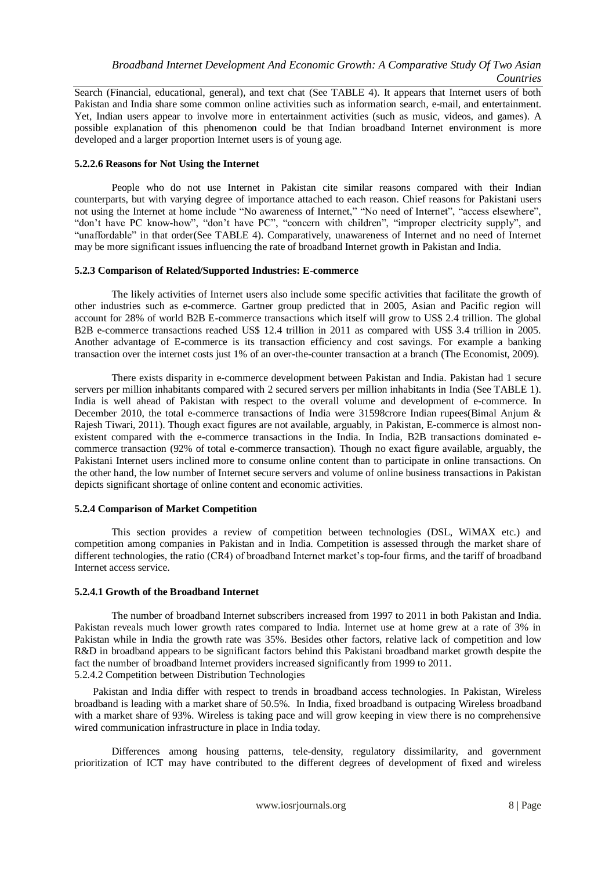Search (Financial, educational, general), and text chat (See TABLE 4). It appears that Internet users of both Pakistan and India share some common online activities such as information search, e-mail, and entertainment. Yet, Indian users appear to involve more in entertainment activities (such as music, videos, and games). A possible explanation of this phenomenon could be that Indian broadband Internet environment is more developed and a larger proportion Internet users is of young age.

# **5.2.2.6 Reasons for Not Using the Internet**

People who do not use Internet in Pakistan cite similar reasons compared with their Indian counterparts, but with varying degree of importance attached to each reason. Chief reasons for Pakistani users not using the Internet at home include "No awareness of Internet," "No need of Internet", "access elsewhere", "don"t have PC know-how", "don"t have PC", "concern with children", "improper electricity supply", and "unaffordable" in that order(See TABLE 4). Comparatively, unawareness of Internet and no need of Internet may be more significant issues influencing the rate of broadband Internet growth in Pakistan and India.

# **5.2.3 Comparison of Related/Supported Industries: E-commerce**

The likely activities of Internet users also include some specific activities that facilitate the growth of other industries such as e-commerce. Gartner group predicted that in 2005, Asian and Pacific region will account for 28% of world B2B E-commerce transactions which itself will grow to US\$ 2.4 trillion. The global B2B e-commerce transactions reached US\$ 12.4 trillion in 2011 as compared with US\$ 3.4 trillion in 2005. Another advantage of E-commerce is its transaction efficiency and cost savings. For example a banking transaction over the internet costs just 1% of an over-the-counter transaction at a branch (The Economist, 2009).

There exists disparity in e-commerce development between Pakistan and India. Pakistan had 1 secure servers per million inhabitants compared with 2 secured servers per million inhabitants in India (See TABLE 1). India is well ahead of Pakistan with respect to the overall volume and development of e-commerce. In December 2010, the total e-commerce transactions of India were 31598 crore Indian rupees(Bimal Anjum & Rajesh Tiwari, 2011). Though exact figures are not available, arguably, in Pakistan, E-commerce is almost nonexistent compared with the e-commerce transactions in the India. In India, B2B transactions dominated ecommerce transaction (92% of total e-commerce transaction). Though no exact figure available, arguably, the Pakistani Internet users inclined more to consume online content than to participate in online transactions. On the other hand, the low number of Internet secure servers and volume of online business transactions in Pakistan depicts significant shortage of online content and economic activities.

# **5.2.4 Comparison of Market Competition**

This section provides a review of competition between technologies (DSL, WiMAX etc.) and competition among companies in Pakistan and in India. Competition is assessed through the market share of different technologies, the ratio (CR4) of broadband Internet market's top-four firms, and the tariff of broadband Internet access service.

# **5.2.4.1 Growth of the Broadband Internet**

The number of broadband Internet subscribers increased from 1997 to 2011 in both Pakistan and India. Pakistan reveals much lower growth rates compared to India. Internet use at home grew at a rate of 3% in Pakistan while in India the growth rate was 35%. Besides other factors, relative lack of competition and low R&D in broadband appears to be significant factors behind this Pakistani broadband market growth despite the fact the number of broadband Internet providers increased significantly from 1999 to 2011. 5.2.4.2 Competition between Distribution Technologies

Pakistan and India differ with respect to trends in broadband access technologies. In Pakistan, Wireless broadband is leading with a market share of 50.5%. In India, fixed broadband is outpacing Wireless broadband with a market share of 93%. Wireless is taking pace and will grow keeping in view there is no comprehensive wired communication infrastructure in place in India today.

Differences among housing patterns, tele-density, regulatory dissimilarity, and government prioritization of ICT may have contributed to the different degrees of development of fixed and wireless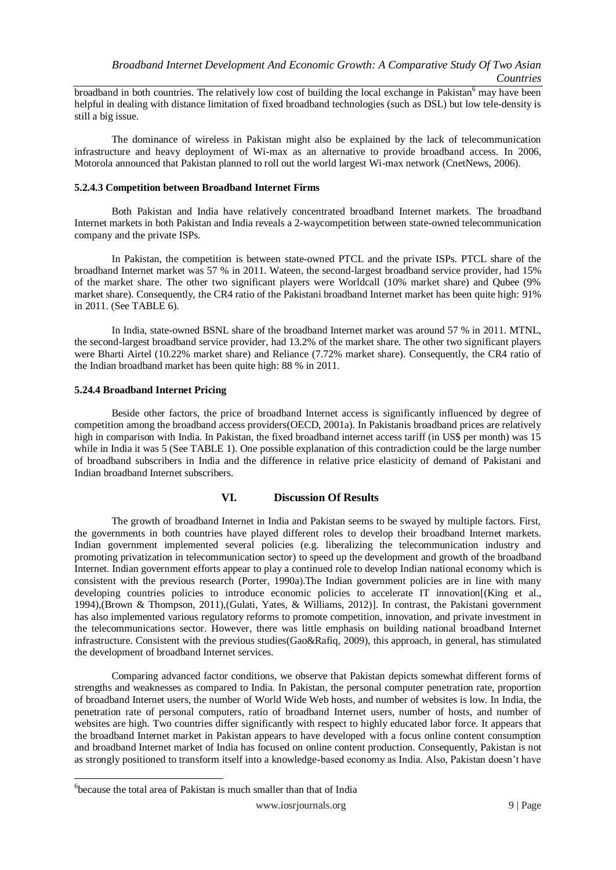broadband in both countries. The relatively low cost of building the local exchange in Pakistan<sup>6</sup> may have been helpful in dealing with distance limitation of fixed broadband technologies (such as DSL) but low tele-density is still a big issue.

The dominance of wireless in Pakistan might also be explained by the lack of telecommunication infrastructure and heavy deployment of Wi-max as an alternative to provide broadband access. In 2006, Motorola announced that Pakistan planned to roll out the world largest Wi-max network (CnetNews, 2006).

### **5.2.4.3 Competition between Broadband Internet Firms**

Both Pakistan and India have relatively concentrated broadband Internet markets. The broadband Internet markets in both Pakistan and India reveals a 2-waycompetition between state-owned telecommunication company and the private ISPs.

In Pakistan, the competition is between state-owned PTCL and the private ISPs. PTCL share of the broadband Internet market was 57 % in 2011. Wateen, the second-largest broadband service provider, had 15% of the market share. The other two significant players were Worldcall (10% market share) and Qubee (9% market share). Consequently, the CR4 ratio of the Pakistani broadband Internet market has been quite high: 91% in 2011. (See TABLE 6).

In India, state-owned BSNL share of the broadband Internet market was around 57 % in 2011. MTNL, the second-largest broadband service provider, had 13.2% of the market share. The other two significant players were Bharti Airtel (10.22% market share) and Reliance (7.72% market share). Consequently, the CR4 ratio of the Indian broadband market has been quite high: 88 % in 2011.

# **5.24.4 Broadband Internet Pricing**

Beside other factors, the price of broadband Internet access is significantly influenced by degree of competition among the broadband access providers(OECD, 2001a). In Pakistanis broadband prices are relatively high in comparison with India. In Pakistan, the fixed broadband internet access tariff (in US\$ per month) was 15 while in India it was 5 (See TABLE 1). One possible explanation of this contradiction could be the large number of broadband subscribers in India and the difference in relative price elasticity of demand of Pakistani and Indian broadband Internet subscribers.

# **VI. Discussion Of Results**

The growth of broadband Internet in India and Pakistan seems to be swayed by multiple factors. First, the governments in both countries have played different roles to develop their broadband Internet markets. Indian government implemented several policies (e.g. liberalizing the telecommunication industry and promoting privatization in telecommunication sector) to speed up the development and growth of the broadband Internet. Indian government efforts appear to play a continued role to develop Indian national economy which is consistent with the previous research (Porter, 1990a).The Indian government policies are in line with many developing countries policies to introduce economic policies to accelerate IT innovation[(King et al., 1994),(Brown & Thompson, 2011),(Gulati, Yates, & Williams, 2012)]. In contrast, the Pakistani government has also implemented various regulatory reforms to promote competition, innovation, and private investment in the telecommunications sector. However, there was little emphasis on building national broadband Internet infrastructure. Consistent with the previous studies(Gao&Rafiq, 2009), this approach, in general, has stimulated the development of broadband Internet services.

Comparing advanced factor conditions, we observe that Pakistan depicts somewhat different forms of strengths and weaknesses as compared to India. In Pakistan, the personal computer penetration rate, proportion of broadband Internet users, the number of World Wide Web hosts, and number of websites is low. In India, the penetration rate of personal computers, ratio of broadband Internet users, number of hosts, and number of websites are high. Two countries differ significantly with respect to highly educated labor force. It appears that the broadband Internet market in Pakistan appears to have developed with a focus online content consumption and broadband Internet market of India has focused on online content production. Consequently, Pakistan is not as strongly positioned to transform itself into a knowledge-based economy as India. Also, Pakistan doesn"t have

-

<sup>&</sup>lt;sup>6</sup>because the total area of Pakistan is much smaller than that of India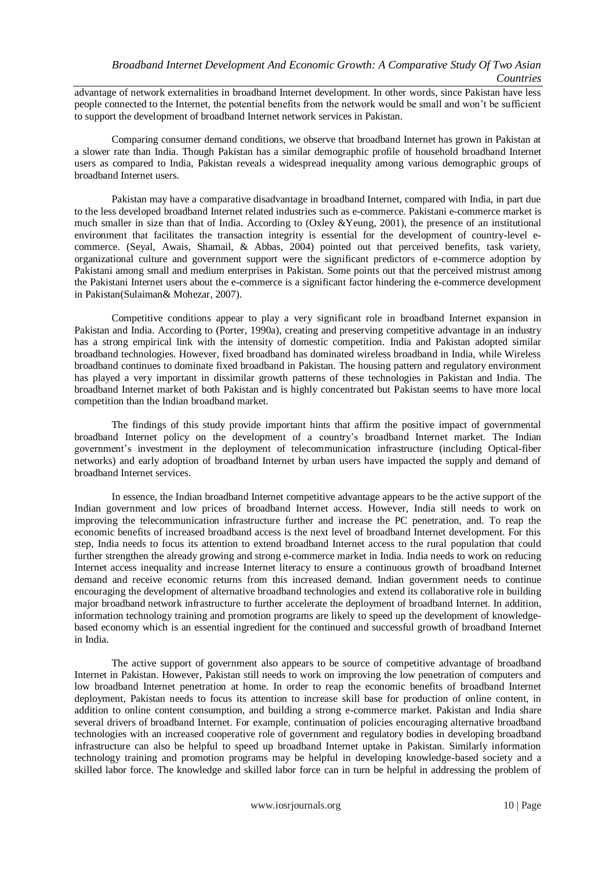advantage of network externalities in broadband Internet development. In other words, since Pakistan have less people connected to the Internet, the potential benefits from the network would be small and won"t be sufficient to support the development of broadband Internet network services in Pakistan.

Comparing consumer demand conditions, we observe that broadband Internet has grown in Pakistan at a slower rate than India. Though Pakistan has a similar demographic profile of household broadband Internet users as compared to India, Pakistan reveals a widespread inequality among various demographic groups of broadband Internet users.

Pakistan may have a comparative disadvantage in broadband Internet, compared with India, in part due to the less developed broadband Internet related industries such as e-commerce. Pakistani e-commerce market is much smaller in size than that of India. According to (Oxley &Yeung, 2001), the presence of an institutional environment that facilitates the transaction integrity is essential for the development of country-level ecommerce. (Seyal, Awais, Shamail, & Abbas, 2004) pointed out that perceived benefits, task variety, organizational culture and government support were the significant predictors of e-commerce adoption by Pakistani among small and medium enterprises in Pakistan. Some points out that the perceived mistrust among the Pakistani Internet users about the e-commerce is a significant factor hindering the e-commerce development in Pakistan(Sulaiman& Mohezar, 2007).

Competitive conditions appear to play a very significant role in broadband Internet expansion in Pakistan and India. According to (Porter, 1990a), creating and preserving competitive advantage in an industry has a strong empirical link with the intensity of domestic competition. India and Pakistan adopted similar broadband technologies. However, fixed broadband has dominated wireless broadband in India, while Wireless broadband continues to dominate fixed broadband in Pakistan. The housing pattern and regulatory environment has played a very important in dissimilar growth patterns of these technologies in Pakistan and India. The broadband Internet market of both Pakistan and is highly concentrated but Pakistan seems to have more local competition than the Indian broadband market.

The findings of this study provide important hints that affirm the positive impact of governmental broadband Internet policy on the development of a country"s broadband Internet market. The Indian government"s investment in the deployment of telecommunication infrastructure (including Optical-fiber networks) and early adoption of broadband Internet by urban users have impacted the supply and demand of broadband Internet services.

In essence, the Indian broadband Internet competitive advantage appears to be the active support of the Indian government and low prices of broadband Internet access. However, India still needs to work on improving the telecommunication infrastructure further and increase the PC penetration, and. To reap the economic benefits of increased broadband access is the next level of broadband Internet development. For this step, India needs to focus its attention to extend broadband Internet access to the rural population that could further strengthen the already growing and strong e-commerce market in India. India needs to work on reducing Internet access inequality and increase Internet literacy to ensure a continuous growth of broadband Internet demand and receive economic returns from this increased demand. Indian government needs to continue encouraging the development of alternative broadband technologies and extend its collaborative role in building major broadband network infrastructure to further accelerate the deployment of broadband Internet. In addition, information technology training and promotion programs are likely to speed up the development of knowledgebased economy which is an essential ingredient for the continued and successful growth of broadband Internet in India.

The active support of government also appears to be source of competitive advantage of broadband Internet in Pakistan. However, Pakistan still needs to work on improving the low penetration of computers and low broadband Internet penetration at home. In order to reap the economic benefits of broadband Internet deployment, Pakistan needs to focus its attention to increase skill base for production of online content, in addition to online content consumption, and building a strong e-commerce market. Pakistan and India share several drivers of broadband Internet. For example, continuation of policies encouraging alternative broadband technologies with an increased cooperative role of government and regulatory bodies in developing broadband infrastructure can also be helpful to speed up broadband Internet uptake in Pakistan. Similarly information technology training and promotion programs may be helpful in developing knowledge-based society and a skilled labor force. The knowledge and skilled labor force can in turn be helpful in addressing the problem of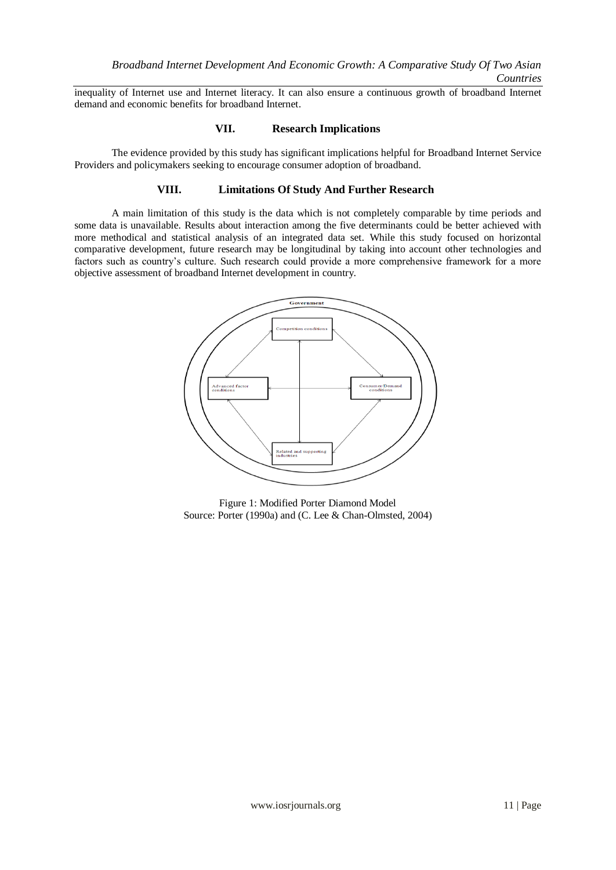inequality of Internet use and Internet literacy. It can also ensure a continuous growth of broadband Internet demand and economic benefits for broadband Internet.

# **VII. Research Implications**

The evidence provided by this study has significant implications helpful for Broadband Internet Service Providers and policymakers seeking to encourage consumer adoption of broadband.

# **VIII. Limitations Of Study And Further Research**

A main limitation of this study is the data which is not completely comparable by time periods and some data is unavailable. Results about interaction among the five determinants could be better achieved with more methodical and statistical analysis of an integrated data set. While this study focused on horizontal comparative development, future research may be longitudinal by taking into account other technologies and factors such as country"s culture. Such research could provide a more comprehensive framework for a more objective assessment of broadband Internet development in country.



Figure 1: Modified Porter Diamond Model Source: Porter (1990a) and (C. Lee & Chan-Olmsted, 2004)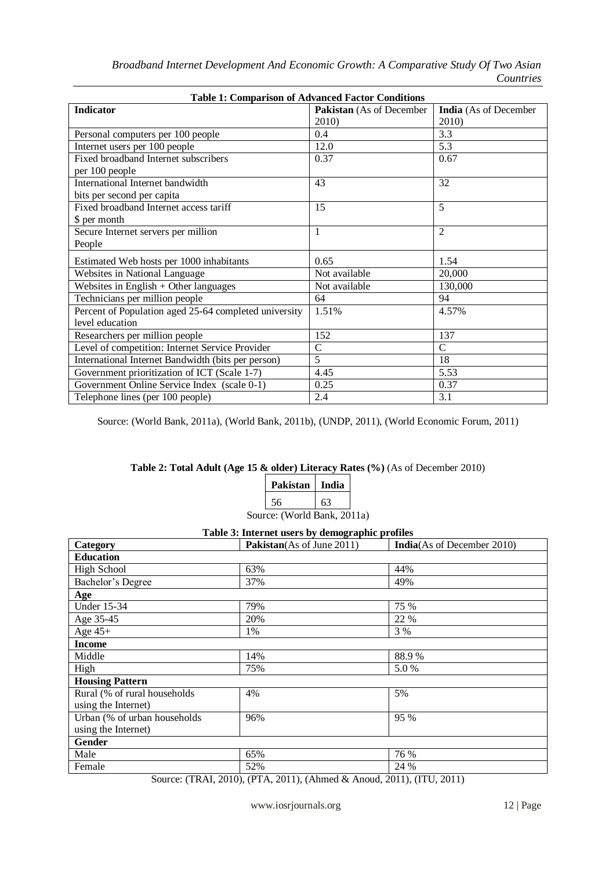| <b>Table 1: Comparison of Advanced Factor Conditions</b> |                          |                              |  |
|----------------------------------------------------------|--------------------------|------------------------------|--|
| <b>Indicator</b>                                         | Pakistan (As of December | <b>India</b> (As of December |  |
|                                                          | 2010)                    | 2010)                        |  |
| Personal computers per 100 people                        | 0.4                      | 3.3                          |  |
| Internet users per 100 people                            | 12.0                     | 5.3                          |  |
| Fixed broadband Internet subscribers                     | 0.37                     | 0.67                         |  |
| per 100 people                                           |                          |                              |  |
| International Internet bandwidth                         | 43                       | 32                           |  |
| bits per second per capita                               |                          |                              |  |
| Fixed broadband Internet access tariff                   | 15                       | $\overline{5}$               |  |
| \$ per month                                             |                          |                              |  |
| Secure Internet servers per million                      | 1                        | $\overline{2}$               |  |
| People                                                   |                          |                              |  |
| Estimated Web hosts per 1000 inhabitants                 | 0.65                     | 1.54                         |  |
| Websites in National Language                            | Not available            | 20,000                       |  |
| Websites in English $+$ Other languages                  | Not available            | 130,000                      |  |
| Technicians per million people                           | 64                       | 94                           |  |
| Percent of Population aged 25-64 completed university    | 1.51%                    | 4.57%                        |  |
| level education                                          |                          |                              |  |
| Researchers per million people                           | 152                      | 137                          |  |
| Level of competition: Internet Service Provider          | $\overline{C}$           | $\mathcal{C}$                |  |
| International Internet Bandwidth (bits per person)       | 5                        | 18                           |  |
| Government prioritization of ICT (Scale 1-7)             | 4.45                     | 5.53                         |  |
| Government Online Service Index (scale 0-1)              | 0.25                     | 0.37                         |  |
| Telephone lines (per 100 people)                         | 2.4                      | 3.1                          |  |

Source: (World Bank, 2011a), (World Bank, 2011b), (UNDP, 2011), (World Economic Forum, 2011)

# **Table 2: Total Adult (Age 15 & older) Literacy Rates (%)** (As of December 2010)

| Pakistan                    | India |  |
|-----------------------------|-------|--|
| 56                          | 63    |  |
| Source: (World Bank, 2011a) |       |  |

| Table 3: Internet users by demographic promes |                           |                                    |  |
|-----------------------------------------------|---------------------------|------------------------------------|--|
| Category                                      | Pakistan(As of June 2011) | <b>India</b> (As of December 2010) |  |
| <b>Education</b>                              |                           |                                    |  |
| <b>High School</b>                            | 63%                       | 44%                                |  |
| Bachelor's Degree                             | 37%                       | 49%                                |  |
| Age                                           |                           |                                    |  |
| Under 15-34                                   | 79%                       | 75 %                               |  |
| Age 35-45                                     | 20%                       | 22 %                               |  |
| Age $45+$                                     | 1%                        | 3 %                                |  |
| <b>Income</b>                                 |                           |                                    |  |
| Middle                                        | 14%                       | 88.9%                              |  |
| High                                          | 75%                       | 5.0%                               |  |
| <b>Housing Pattern</b>                        |                           |                                    |  |
| Rural (% of rural households                  | 4%                        | 5%                                 |  |
| using the Internet)                           |                           |                                    |  |
| Urban (% of urban households                  | 96%                       | 95 %                               |  |
| using the Internet)                           |                           |                                    |  |
| <b>Gender</b>                                 |                           |                                    |  |
| Male                                          | 65%                       | 76 %                               |  |
| Female                                        | 52%                       | 24 %                               |  |

**Table 3: Internet users by demographic profiles**

Source: (TRAI, 2010), (PTA, 2011), (Ahmed & Anoud, 2011), (ITU, 2011)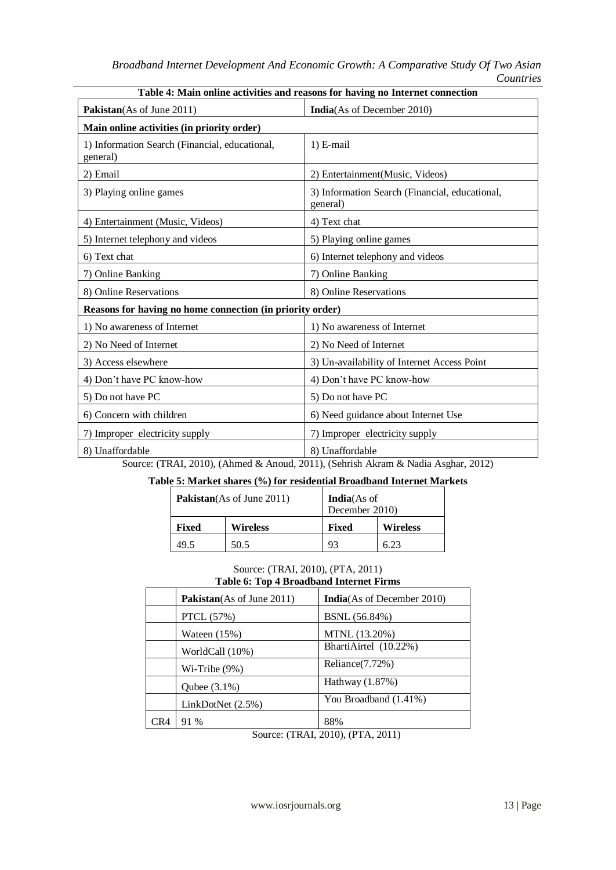| <b>Table 4.</b> Main binne activities and reasons for having no internet connection |                                                            |  |  |
|-------------------------------------------------------------------------------------|------------------------------------------------------------|--|--|
| <b>Pakistan</b> (As of June 2011)                                                   | <b>India</b> (As of December 2010)                         |  |  |
| Main online activities (in priority order)                                          |                                                            |  |  |
| 1) Information Search (Financial, educational,<br>general)                          | $1)$ E-mail                                                |  |  |
| 2) Email                                                                            | 2) Entertainment(Music, Videos)                            |  |  |
| 3) Playing online games                                                             | 3) Information Search (Financial, educational,<br>general) |  |  |
| 4) Entertainment (Music, Videos)                                                    | 4) Text chat                                               |  |  |
| 5) Internet telephony and videos                                                    | 5) Playing online games                                    |  |  |
| 6) Text chat                                                                        | 6) Internet telephony and videos                           |  |  |
| 7) Online Banking                                                                   | 7) Online Banking                                          |  |  |
| 8) Online Reservations                                                              | 8) Online Reservations                                     |  |  |
| Reasons for having no home connection (in priority order)                           |                                                            |  |  |
| 1) No awareness of Internet                                                         | 1) No awareness of Internet                                |  |  |
| 2) No Need of Internet                                                              | 2) No Need of Internet                                     |  |  |
| 3) Access elsewhere                                                                 | 3) Un-availability of Internet Access Point                |  |  |
| 4) Don't have PC know-how                                                           | 4) Don't have PC know-how                                  |  |  |
| 5) Do not have PC                                                                   | 5) Do not have PC                                          |  |  |
| 6) Concern with children                                                            | 6) Need guidance about Internet Use                        |  |  |
| 7) Improper electricity supply                                                      | 7) Improper electricity supply                             |  |  |
| 8) Unaffordable                                                                     | 8) Unaffordable                                            |  |  |

**Table 4: Main online activities and reasons for having no Internet connection**

Source: (TRAI, 2010), (Ahmed & Anoud, 2011), (Sehrish Akram & Nadia Asghar, 2012)

# **Table 5: Market shares (%) for residential Broadband Internet Markets**

|       | <b>Pakistan</b> (As of June 2011) | <b>India</b> (As of<br>December 2010) |                 |
|-------|-----------------------------------|---------------------------------------|-----------------|
| Fixed | <b>Wireless</b>                   | Fixed                                 | <b>Wireless</b> |
| 49.5  | 50.5                              | 93                                    | 6.23            |

#### Source: (TRAI, 2010), (PTA, 2011) **Table 6: Top 4 Broadband Internet Firms**

|     | <b>Pakistan</b> (As of June 2011) | <b>India</b> (As of December 2010) |
|-----|-----------------------------------|------------------------------------|
|     | <b>PTCL</b> (57%)                 | BSNL (56.84%)                      |
|     | Wateen $(15%)$                    | MTNL (13.20%)                      |
|     | WorldCall (10%)                   | BhartiAirtel (10.22%)              |
|     | $Wi-Tribe (9%)$                   | Reliance(7.72%)                    |
|     | Qubee $(3.1\%)$                   | Hathway $(1.87%)$                  |
|     | LinkDotNet (2.5%)                 | You Broadband (1.41%)              |
| CR4 | 91 %                              | 88%                                |

Source: (TRAI, 2010), (PTA, 2011)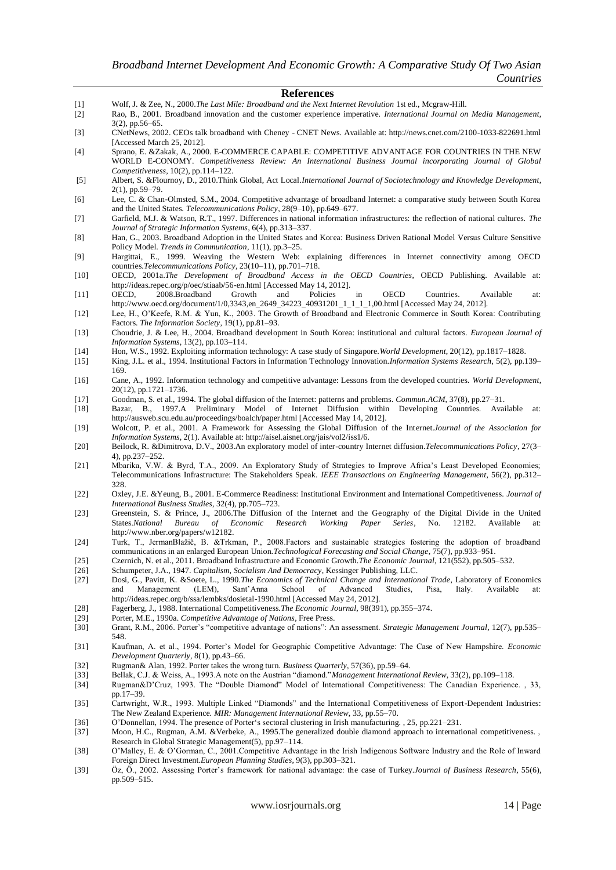#### **References**

- [1] Wolf, J. & Zee, N., 2000.*The Last Mile: Broadband and the Next Internet Revolution* 1st ed., Mcgraw-Hill.
- [2] Rao, B., 2001. Broadband innovation and the customer experience imperative. *International Journal on Media Management*, 3(2), pp.56–65.
- [3] CNetNews, 2002. CEOs talk broadband with Cheney CNET News. Available at: http://news.cnet.com/2100-1033-822691.html [Accessed March 25, 2012].
- [4] Sprano, E. &Zakak, A., 2000. E-COMMERCE CAPABLE: COMPETITIVE ADVANTAGE FOR COUNTRIES IN THE NEW WORLD E-CONOMY. *Competitiveness Review: An International Business Journal incorporating Journal of Global Competitiveness*, 10(2), pp.114–122.
- [5] Albert, S. &Flournoy, D., 2010.Think Global, Act Local.*International Journal of Sociotechnology and Knowledge Development*, 2(1), pp.59–79.
- [6] Lee, C. & Chan-Olmsted, S.M., 2004. Competitive advantage of broadband Internet: a comparative study between South Korea and the United States. *Telecommunications Policy*, 28(9–10), pp.649–677.
- [7] Garfield, M.J. & Watson, R.T., 1997. Differences in national information infrastructures: the reflection of national cultures. *The Journal of Strategic Information Systems*, 6(4), pp.313–337.
- [8] Han, G., 2003. Broadband Adoption in the United States and Korea: Business Driven Rational Model Versus Culture Sensitive Policy Model. *Trends in Communication*, 11(1), pp.3–25.
- [9] Hargittai, E., 1999. Weaving the Western Web: explaining differences in Internet connectivity among OECD countries.*Telecommunications Policy*, 23(10–11), pp.701–718.
- [10] OECD, 2001a.*The Development of Broadband Access in the OECD Countries*, OECD Publishing. Available at: http://ideas.repec.org/p/oec/stiaab/56-en.html [Accessed May 14, 2012].
- [11] OECD, 2008.Broadband Growth and Policies in OECD Countries. Available at: http://www.oecd.org/document/1/0,3343,en\_2649\_34223\_40931201\_1\_1\_1\_1,00.html [Accessed May 24, 2012].
- [12] Lee, H., O"Keefe, R.M. & Yun, K., 2003. The Growth of Broadband and Electronic Commerce in South Korea: Contributing Factors. *The Information Society*, 19(1), pp.81–93.
- [13] Choudrie, J. & Lee, H., 2004. Broadband development in South Korea: institutional and cultural factors. *European Journal of Information Systems*, 13(2), pp.103–114.
- [14] Hon, W.S., 1992. Exploiting information technology: A case study of Singapore.*World Development*, 20(12), pp.1817–1828.
- [15] King, J.L. et al., 1994. Institutional Factors in Information Technology Innovation.*Information Systems Research*, 5(2), pp.139– 169.
- [16] Cane, A., 1992. Information technology and competitive advantage: Lessons from the developed countries. *World Development*, 20(12), pp.1721–1736.
- [17] Goodman, S. et al., 1994. The global diffusion of the Internet: patterns and problems. *Commun.ACM*, 37(8), pp.27–31.
- [18] Bazar, B., 1997.A Preliminary Model of Internet Diffusion within Developing Countries. Available at: http://ausweb.scu.edu.au/proceedings/boalch/paper.html [Accessed May 14, 2012].
- [19] Wolcott, P. et al., 2001. A Framework for Assessing the Global Diffusion of the Internet.*Journal of the Association for Information Systems*, 2(1). Available at: http://aisel.aisnet.org/jais/vol2/iss1/6.
- [20] Beilock, R. &Dimitrova, D.V., 2003.An exploratory model of inter-country Internet diffusion.*Telecommunications Policy*, 27(3– 4), pp.237–252.
- [21] Mbarika, V.W. & Byrd, T.A., 2009. An Exploratory Study of Strategies to Improve Africa"s Least Developed Economies; Telecommunications Infrastructure: The Stakeholders Speak. *IEEE Transactions on Engineering Management*, 56(2), pp.312– 328.
- [22] Oxley, J.E. &Yeung, B., 2001. E-Commerce Readiness: Institutional Environment and International Competitiveness. *Journal of International Business Studies*, 32(4), pp.705–723.
- [23] Greenstein, S. & Prince, J., 2006.The Diffusion of the Internet and the Geography of the Digital Divide in the United States.National Bureau of Economic Research Working Paper Series, No. 12182. Available at: States.*National Bureau of Economic Research Working Paper Series*, No. 12182. Available at: http://www.nber.org/papers/w12182.
- [24] Turk, T., JermanBlažič, B. &Trkman, P., 2008.Factors and sustainable strategies fostering the adoption of broadband communications in an enlarged European Union.*Technological Forecasting and Social Change*, 75(7), pp.933–951.
- [25] Czernich, N. et al., 2011. Broadband Infrastructure and Economic Growth.*The Economic Journal*, 121(552), pp.505–532.
- [26] Schumpeter, J.A., 1947. *Capitalism, Socialism And Democracy*, Kessinger Publishing, LLC.
- [27] Dosi, G., Pavitt, K. &Soete, L., 1990.*The Economics of Technical Change and International Trade*, Laboratory of Economics and Management (LEM), Sant"Anna School of Advanced Studies, Pisa, Italy. Available at: http://ideas.repec.org/b/ssa/lembks/dosietal-1990.html [Accessed May 24, 2012].
- [28] Fagerberg, J., 1988. International Competitiveness.*The Economic Journal*, 98(391), pp.355–374.
- [29] Porter, M.E., 1990a. *Competitive Advantage of Nations*, Free Press.
- [30] Grant, R.M., 2006. Porter"s "competitive advantage of nations": An assessment. *Strategic Management Journal*, 12(7), pp.535– 548.
- [31] Kaufman, A. et al., 1994. Porter"s Model for Geographic Competitive Advantage: The Case of New Hampshire. *Economic Development Quarterly*, 8(1), pp.43–66.
- [32] Rugman& Alan, 1992. Porter takes the wrong turn. *Business Quarterly*, 57(36), pp.59–64.
- [33] Bellak, C.J. & Weiss, A., 1993.A note on the Austrian "diamond."*Management International Review*, 33(2), pp.109–118.
- [34] Rugman&D"Cruz, 1993. The "Double Diamond" Model of International Competitiveness: The Canadian Experience. , 33, pp.17–39.
- [35] Cartwright, W.R., 1993. Multiple Linked "Diamonds" and the International Competitiveness of Export-Dependent Industries: The New Zealand Experience. *MIR: Management International Review*, 33, pp.55–70.
- 
- [36] O"Donnellan, 1994. The presence of Porter"s sectoral clustering in Irish manufacturing. , 25, pp.221–231. Moon, H.C., Rugman, A.M. &Verbeke, A., 1995.The generalized double diamond approach to international competitiveness., Research in Global Strategic Management(5), pp.97–114.
- [38] O"Malley, E. & O"Gorman, C., 2001.Competitive Advantage in the Irish Indigenous Software Industry and the Role of Inward Foreign Direct Investment.*European Planning Studies*, 9(3), pp.303–321.
- [39] Öz, Ö., 2002. Assessing Porter"s framework for national advantage: the case of Turkey.*Journal of Business Research*, 55(6), pp.509–515.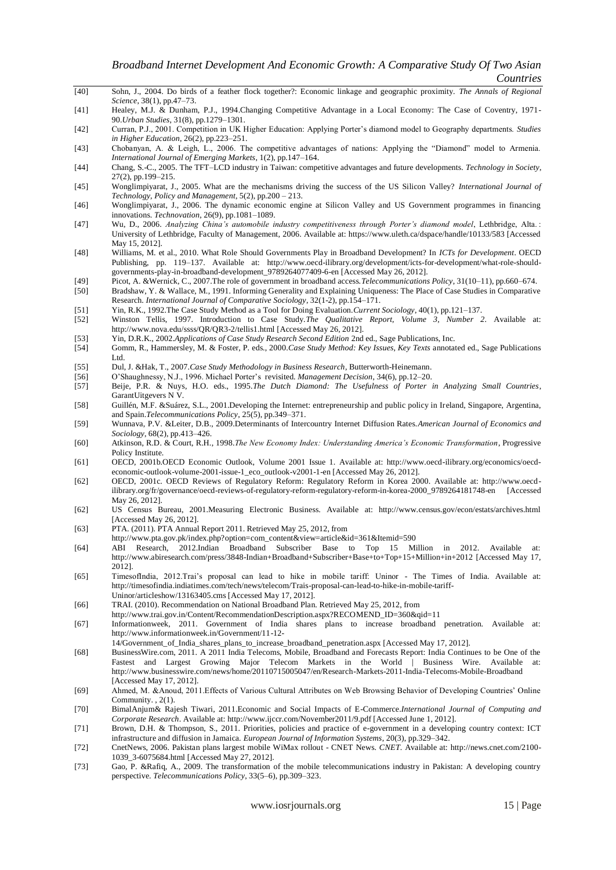- [40] Sohn, J., 2004. Do birds of a feather flock together?: Economic linkage and geographic proximity. *The Annals of Regional Science*, 38(1), pp.47–73.
- [41] Healey, M.J. & Dunham, P.J., 1994.Changing Competitive Advantage in a Local Economy: The Case of Coventry, 1971- 90.*Urban Studies*, 31(8), pp.1279–1301.
- [42] Curran, P.J., 2001. Competition in UK Higher Education: Applying Porter"s diamond model to Geography departments. *Studies in Higher Education*, 26(2), pp.223–251.
- [43] Chobanyan, A. & Leigh, L., 2006. The competitive advantages of nations: Applying the "Diamond" model to Armenia. *International Journal of Emerging Markets*, 1(2), pp.147–164.
- [44] Chang, S.-C., 2005. The TFT–LCD industry in Taiwan: competitive advantages and future developments. *Technology in Society*, 27(2), pp.199–215.
- [45] Wonglimpiyarat, J., 2005. What are the mechanisms driving the success of the US Silicon Valley? *International Journal of Technology, Policy and Management*, 5(2), pp.200 – 213.
- [46] Wonglimpiyarat, J., 2006. The dynamic economic engine at Silicon Valley and US Government programmes in financing innovations. *Technovation*, 26(9), pp.1081–1089.
- [47] Wu, D., 2006. *Analyzing China's automobile industry competitiveness through Porter's diamond model*, Lethbridge, Alta. : University of Lethbridge, Faculty of Management, 2006. Available at: https://www.uleth.ca/dspace/handle/10133/583 [Accessed May 15, 2012].
- [48] Williams, M. et al., 2010. What Role Should Governments Play in Broadband Development? In *ICTs for Development*. OECD Publishing, pp. 119–137. Available at: http://www.oecd-ilibrary.org/development/icts-for-development/what-role-shouldgovernments-play-in-broadband-development\_9789264077409-6-en [Accessed May 26, 2012].
- [49] Picot, A. &Wernick, C., 2007.The role of government in broadband access.*Telecommunications Policy*, 31(10–11), pp.660–674.
- [50] Bradshaw, Y. & Wallace, M., 1991. Informing Generality and Explaining Uniqueness: The Place of Case Studies in Comparative Research. *International Journal of Comparative Sociology*, 32(1-2), pp.154–171.
- [51] Yin, R.K., 1992.The Case Study Method as a Tool for Doing Evaluation.*Current Sociology*, 40(1), pp.121–137.
- [52] Winston Tellis, 1997. Introduction to Case Study.*The Qualitative Report, Volume 3, Number 2*. Available at: http://www.nova.edu/ssss/QR/QR3-2/tellis1.html [Accessed May 26, 2012].
- [53] Yin, D.R.K., 2002.*Applications of Case Study Research Second Edition* 2nd ed., Sage Publications, Inc.
- [54] Gomm, R., Hammersley, M. & Foster, P. eds., 2000.*Case Study Method: Key Issues, Key Texts* annotated ed., Sage Publications Ltd.
- [55] Dul, J. &Hak, T., 2007.*Case Study Methodology in Business Research*, Butterworth-Heinemann.
- [56] O"Shaughnessy, N.J., 1996. Michael Porter"s revisited. *Management Decision*, 34(6), pp.12–20.
- [57] Beije, P.R. & Nuys, H.O. eds., 1995.*The Dutch Diamond: The Usefulness of Porter in Analyzing Small Countries*, GarantUitgevers N V.
- [58] Guillén, M.F. &Suárez, S.L., 2001.Developing the Internet: entrepreneurship and public policy in Ireland, Singapore, Argentina, and Spain.*Telecommunications Policy*, 25(5), pp.349–371.
- [59] Wunnava, P.V. &Leiter, D.B., 2009.Determinants of Intercountry Internet Diffusion Rates.*American Journal of Economics and Sociology*, 68(2), pp.413–426.
- [60] Atkinson, R.D. & Court, R.H., 1998.*The New Economy Index: Understanding America's Economic Transformation*, Progressive Policy Institute.
- [61] OECD, 2001b.OECD Economic Outlook, Volume 2001 Issue 1. Available at: http://www.oecd-ilibrary.org/economics/oecdeconomic-outlook-volume-2001-issue-1\_eco\_outlook-v2001-1-en [Accessed May 26, 2012].
- [62] OECD, 2001c. OECD Reviews of Regulatory Reform: Regulatory Reform in Korea 2000. Available at: http://www.oecdilibrary.org/fr/governance/oecd-reviews-of-regulatory-reform-regulatory-reform-in-korea-2000\_9789264181748-en [Accessed May 26, 2012].
- [62] US Census Bureau, 2001.Measuring Electronic Business. Available at: http://www.census.gov/econ/estats/archives.html [Accessed May 26, 2012].
- [63] PTA. (2011). PTA Annual Report 2011. Retrieved May 25, 2012, from
- http://www.pta.gov.pk/index.php?option=com\_content&view=article&id=361&Itemid=590
- [64] ABI Research, 2012.Indian Broadband Subscriber Base to Top 15 Million in 2012. Available at: http://www.abiresearch.com/press/3848-Indian+Broadband+Subscriber+Base+to+Top+15+Million+in+2012 [Accessed May 17, 2012].
- [65] TimesofIndia, 2012.Trai"s proposal can lead to hike in mobile tariff: Uninor The Times of India. Available at: http://timesofindia.indiatimes.com/tech/news/telecom/Trais-proposal-can-lead-to-hike-in-mobile-tariff-Uninor/articleshow/13163405.cms [Accessed May 17, 2012].
- [66] TRAI. (2010). Recommendation on National Broadband Plan. Retrieved May 25, 2012, from
- http://www.trai.gov.in/Content/RecommendationDescription.aspx?RECOMEND\_ID=360&qid=11
- [67] Informationweek, 2011. Government of India shares plans to increase broadband penetration. Available at: http://www.informationweek.in/Government/11-12-
- 14/Government\_of\_India\_shares\_plans\_to\_increase\_broadband\_penetration.aspx [Accessed May 17, 2012].
- [68] BusinessWire.com, 2011. A 2011 India Telecoms, Mobile, Broadband and Forecasts Report: India Continues to be One of the Fastest and Largest Growing Major Telecom Markets in the World | Business Wire. Available at: http://www.businesswire.com/news/home/20110715005047/en/Research-Markets-2011-India-Telecoms-Mobile-Broadband [Accessed May 17, 2012].
- [69] Ahmed, M. &Anoud, 2011.Effects of Various Cultural Attributes on Web Browsing Behavior of Developing Countries" Online Community. , 2(1).
- [70] BimalAnjum& Rajesh Tiwari, 2011.Economic and Social Impacts of E-Commerce.*International Journal of Computing and Corporate Research*. Available at: http://www.ijccr.com/November2011/9.pdf [Accessed June 1, 2012].
- [71] Brown, D.H. & Thompson, S., 2011. Priorities, policies and practice of e-government in a developing country context: ICT infrastructure and diffusion in Jamaica. *European Journal of Information Systems*, 20(3), pp.329–342.
- [72] CnetNews, 2006. Pakistan plans largest mobile WiMax rollout CNET News. *CNET*. Available at: http://news.cnet.com/2100- 1039\_3-6075684.html [Accessed May 27, 2012].
- [73] Gao, P. &Rafiq, A., 2009. The transformation of the mobile telecommunications industry in Pakistan: A developing country perspective. *Telecommunications Policy*, 33(5–6), pp.309–323.